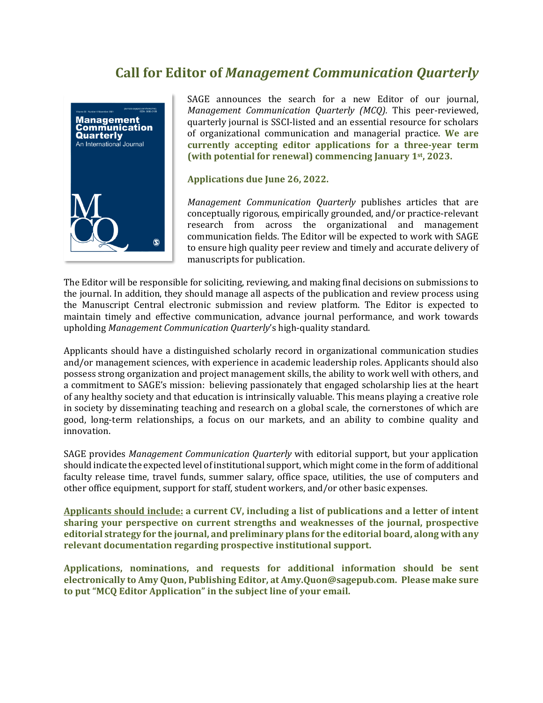## **Call for Editor of** *Management Communication Quarterly*



SAGE announces the search for a new Editor of our journal, *Management Communication Quarterly (MCQ).* This peer-reviewed, quarterly journal is SSCI-listed and an essential resource for scholars of organizational communication and managerial practice. **We are currently accepting editor applications for a three-year term (with potential for renewal) commencing January 1st, 2023.**

**Applications due June 26, 2022.**

*Management Communication Quarterly* publishes articles that are conceptually rigorous, empirically grounded, and/or practice-relevant research from across the organizational and management communication fields. The Editor will be expected to work with SAGE to ensure high quality peer review and timely and accurate delivery of manuscripts for publication.

The Editor will be responsible for soliciting, reviewing, and making final decisions on submissions to the journal. In addition, they should manage all aspects of the publication and review process using the Manuscript Central electronic submission and review platform. The Editor is expected to maintain timely and effective communication, advance journal performance, and work towards upholding *Management Communication Quarterly*'s high-quality standard.

Applicants should have a distinguished scholarly record in organizational communication studies and/or management sciences, with experience in academic leadership roles. Applicants should also possess strong organization and project management skills, the ability to work well with others, and a commitment to SAGE's mission: believing passionately that engaged scholarship lies at the heart of any healthy society and that education is intrinsically valuable. This means playing a creative role in society by disseminating teaching and research on a global scale, the cornerstones of which are good, long-term relationships, a focus on our markets, and an ability to combine quality and innovation.

SAGE provides *Management Communication Quarterly* with editorial support, but your application should indicate the expected level of institutional support, which might come in the form of additional faculty release time, travel funds, summer salary, office space, utilities, the use of computers and other office equipment, support for staff, student workers, and/or other basic expenses.

**Applicants should include: a current CV, including a list of publications and a letter of intent sharing your perspective on current strengths and weaknesses of the journal, prospective editorial strategy for the journal, and preliminary plans for the editorial board, along with any relevant documentation regarding prospective institutional support.** 

**Applications, nominations, and requests for additional information should be sent electronically to Amy Quon, Publishing Editor, at Amy.Quon@sagepub.com. Please make sure to put "MCQ Editor Application" in the subject line of your email.**